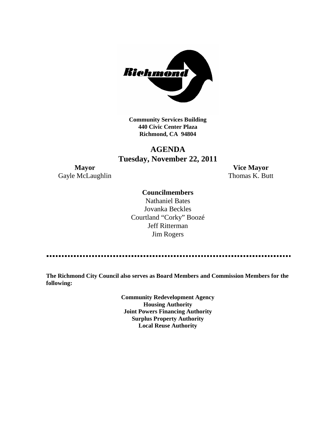

**Community Services Building 440 Civic Center Plaza Richmond, CA 94804**

# **AGENDA Tuesday, November 22, 2011**

Gayle McLaughlin Thomas K. Butt

**Mayor Vice Mayor**

# **Councilmembers**

Nathaniel Bates Jovanka Beckles Courtland "Corky" Boozé Jeff Ritterman Jim Rogers

**The Richmond City Council also serves as Board Members and Commission Members for the following:**

> **Community Redevelopment Agency Housing Authority Joint Powers Financing Authority Surplus Property Authority Local Reuse Authority**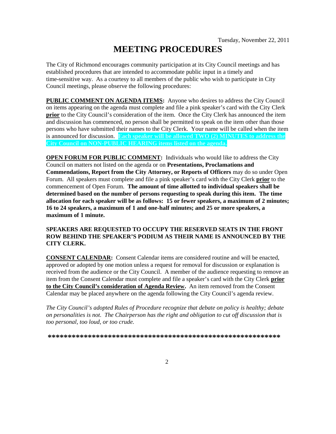# **MEETING PROCEDURES**

The City of Richmond encourages community participation at its City Council meetings and has established procedures that are intended to accommodate public input in a timely and time-sensitive way. As a courtesy to all members of the public who wish to participate in City Council meetings, please observe the following procedures:

**PUBLIC COMMENT ON AGENDA ITEMS:** Anyone who desires to address the City Council on items appearing on the agenda must complete and file a pink speaker's card with the City Clerk **prior** to the City Council's consideration of the item. Once the City Clerk has announced the item and discussion has commenced, no person shall be permitted to speak on the item other than those persons who have submitted their names to the City Clerk. Your name will be called when the item is announced for discussion. **Each speaker will be allowed TWO (2) MINUTES to address the City Council on NON-PUBLIC HEARING items listed on the agenda.**

**OPEN FORUM FOR PUBLIC COMMENT:** Individuals who would like to address the City Council on matters not listed on the agenda or on **Presentations, Proclamations and Commendations, Report from the City Attorney, or Reports of Officers** may do so under Open Forum. All speakers must complete and file a pink speaker's card with the City Clerk **prior** to the commencement of Open Forum. **The amount of time allotted to individual speakers shall be determined based on the number of persons requesting to speak during this item. The time allocation for each speaker will be as follows: 15 or fewer speakers, a maximum of 2 minutes; 16 to 24 speakers, a maximum of 1 and one-half minutes; and 25 or more speakers, a maximum of 1 minute.**

## **SPEAKERS ARE REQUESTED TO OCCUPY THE RESERVED SEATS IN THE FRONT ROW BEHIND THE SPEAKER'S PODIUM AS THEIR NAME IS ANNOUNCED BY THE CITY CLERK.**

**CONSENT CALENDAR:** Consent Calendar items are considered routine and will be enacted, approved or adopted by one motion unless a request for removal for discussion or explanation is received from the audience or the City Council. A member of the audience requesting to remove an item from the Consent Calendar must complete and file a speaker's card with the City Clerk **prior to the City Council's consideration of Agenda Review.** An item removed from the Consent Calendar may be placed anywhere on the agenda following the City Council's agenda review.

*The City Council's adopted Rules of Procedure recognize that debate on policy is healthy; debate on personalities is not. The Chairperson has the right and obligation to cut off discussion that is too personal, too loud, or too crude.*

**\*\*\*\*\*\*\*\*\*\*\*\*\*\*\*\*\*\*\*\*\*\*\*\*\*\*\*\*\*\*\*\*\*\*\*\*\*\*\*\*\*\*\*\*\*\*\*\*\*\*\*\*\*\*\*\*\*\***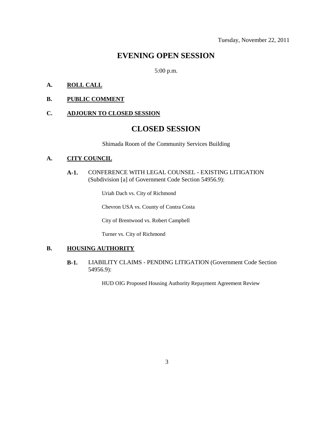# **EVENING OPEN SESSION**

5:00 p.m.

## **A. ROLL CALL**

#### **B. PUBLIC COMMENT**

#### **C. ADJOURN TO CLOSED SESSION**

# **CLOSED SESSION**

Shimada Room of the Community Services Building

# **A. CITY COUNCIL**

**A-1.** CONFERENCE WITH LEGAL COUNSEL - EXISTING LITIGATION (Subdivision [a] of Government Code Section 54956.9):

Uriah Dach vs. City of Richmond

Chevron USA vs. County of Contra Costa

City of Brentwood vs. Robert Campbell

Turner vs. City of Richmond

# **B. HOUSING AUTHORITY**

**B-1.** LIABILITY CLAIMS - PENDING LITIGATION (Government Code Section 54956.9):

HUD OIG Proposed Housing Authority Repayment Agreement Review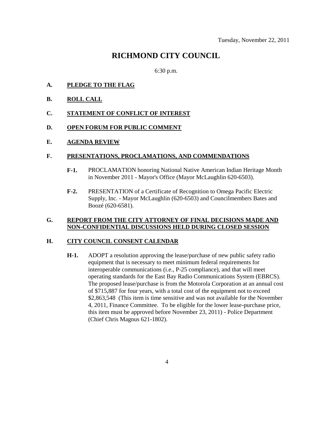# **RICHMOND CITY COUNCIL**

6:30 p.m.

- **A. PLEDGE TO THE FLAG**
- **B. ROLL CALL**
- **C. STATEMENT OF CONFLICT OF INTEREST**

#### **D. OPEN FORUM FOR PUBLIC COMMENT**

#### **E. AGENDA REVIEW**

#### **F. PRESENTATIONS, PROCLAMATIONS, AND COMMENDATIONS**

- **F-1.** PROCLAMATION honoring National Native American Indian Heritage Month in November 2011 - Mayor's Office (Mayor McLaughlin 620-6503).
- **F-2.** PRESENTATION of a Certificate of Recognition to Omega Pacific Electric Supply, Inc. - Mayor McLaughlin (620-6503) and Councilmembers Bates and Boozé (620-6581).

# **G. REPORT FROM THE CITY ATTORNEY OF FINAL DECISIONS MADE AND NON-CONFIDENTIAL DISCUSSIONS HELD DURING CLOSED SESSION**

## **H. CITY COUNCIL CONSENT CALENDAR**

**H-1.** ADOPT a resolution approving the lease/purchase of new public safety radio equipment that is necessary to meet minimum federal requirements for interoperable communications (i.e., P-25 compliance), and that will meet operating standards for the East Bay Radio Communications System (EBRCS). The proposed lease/purchase is from the Motorola Corporation at an annual cost of \$715,887 for four years, with a total cost of the equipment not to exceed \$2,863,548 (This item is time sensitive and was not available for the November 4, 2011, Finance Committee. To be eligible for the lower lease-purchase price, this item must be approved before November 23, 2011) - Police Department (Chief Chris Magnus 621-1802).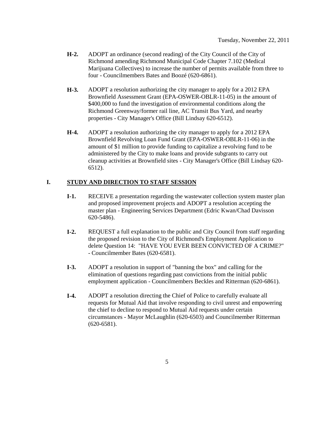- **H-2.** ADOPT an ordinance (second reading) of the City Council of the City of Richmond amending Richmond Municipal Code Chapter 7.102 (Medical Marijuana Collectives) to increase the number of permits available from three to four - Councilmembers Bates and Boozé (620-6861).
- **H-3.** ADOPT a resolution authorizing the city manager to apply for a 2012 EPA Brownfield Assessment Grant (EPA-OSWER-OBLR-11-05) in the amount of \$400,000 to fund the investigation of environmental conditions along the Richmond Greenway/former rail line, AC Transit Bus Yard, and nearby properties - City Manager's Office (Bill Lindsay 620-6512).
- **H-4.** ADOPT a resolution authorizing the city manager to apply for a 2012 EPA Brownfield Revolving Loan Fund Grant (EPA-OSWER-OBLR-11-06) in the amount of \$1 million to provide funding to capitalize a revolving fund to be administered by the City to make loans and provide subgrants to carry out cleanup activities at Brownfield sites - City Manager's Office (Bill Lindsay 620- 6512).

# **I. STUDY AND DIRECTION TO STAFF SESSION**

- **I-1.** RECEIVE a presentation regarding the wastewater collection system master plan and proposed improvement projects and ADOPT a resolution accepting the master plan - Engineering Services Department (Edric Kwan/Chad Davisson 620-5486).
- **I-2.** REQUEST a full explanation to the public and City Council from staff regarding the proposed revision to the City of Richmond's Employment Application to delete Question 14: "HAVE YOU EVER BEEN CONVICTED OF A CRIME?" - Councilmember Bates (620-6581).
- **I-3.** ADOPT a resolution in support of "banning the box" and calling for the elimination of questions regarding past convictions from the initial public employment application - Councilmembers Beckles and Ritterman (620-6861).
- **I-4.** ADOPT a resolution directing the Chief of Police to carefully evaluate all requests for Mutual Aid that involve responding to civil unrest and empowering the chief to decline to respond to Mutual Aid requests under certain circumstances - Mayor McLaughlin (620-6503) and Councilmember Ritterman (620-6581).